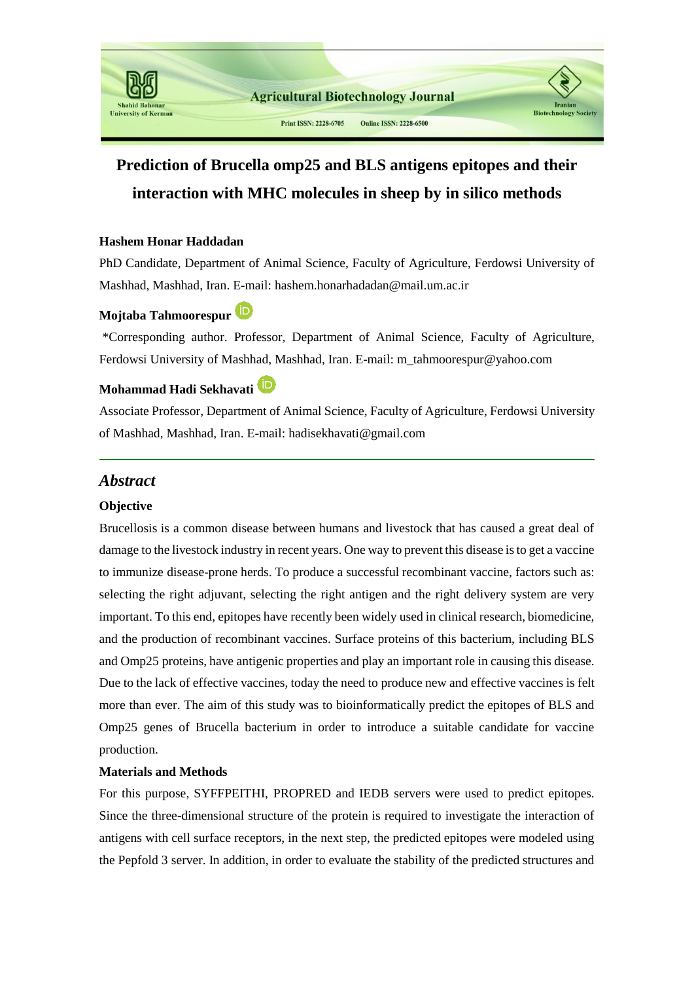

# **Prediction of Brucella omp25 and BLS antigens epitopes and their interaction with MHC molecules in sheep by in silico methods**

#### **Hashem Honar Haddadan**

PhD Candidate, Department of Animal Science, Faculty of Agriculture, Ferdowsi University of Mashhad, Mashhad, Iran. E-mail: hashem.honarhadadan@mail.um.ac.ir

# **Mojtaba Tahmoorespur**

\*Corresponding author. Professor, Department of Animal Science, Faculty of Agriculture, Ferdowsi University of Mashhad, Mashhad, Iran. E-mail: m\_tahmoorespur@yahoo.com

## **Mohammad Hadi Sekhavati**

Associate Professor, Department of Animal Science, Faculty of Agriculture, Ferdowsi University of Mashhad, Mashhad, Iran. E-mail: hadisekhavati@gmail.com

## *Abstract*

#### **Objective**

Brucellosis is a common disease between humans and livestock that has caused a great deal of damage to the livestock industry in recent years. One way to prevent this disease is to get a vaccine to immunize disease-prone herds. To produce a successful recombinant vaccine, factors such as: selecting the right adjuvant, selecting the right antigen and the right delivery system are very important. To this end, epitopes have recently been widely used in clinical research, biomedicine, and the production of recombinant vaccines. Surface proteins of this bacterium, including BLS and Omp25 proteins, have antigenic properties and play an important role in causing this disease. Due to the lack of effective vaccines, today the need to produce new and effective vaccines is felt more than ever. The aim of this study was to bioinformatically predict the epitopes of BLS and Omp25 genes of Brucella bacterium in order to introduce a suitable candidate for vaccine production.

#### **Materials and Methods**

For this purpose, SYFFPEITHI, PROPRED and IEDB servers were used to predict epitopes. Since the three-dimensional structure of the protein is required to investigate the interaction of antigens with cell surface receptors, in the next step, the predicted epitopes were modeled using the Pepfold 3 server. In addition, in order to evaluate the stability of the predicted structures and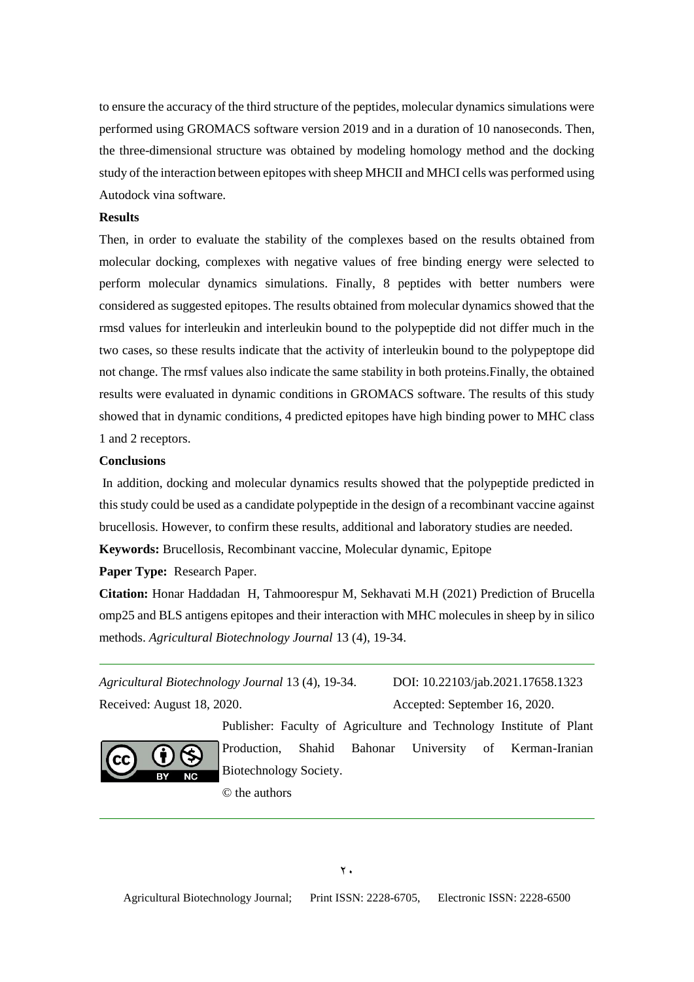to ensure the accuracy of the third structure of the peptides, molecular dynamics simulations were performed using GROMACS software version 2019 and in a duration of 10 nanoseconds. Then, the three-dimensional structure was obtained by modeling homology method and the docking study of the interaction between epitopes with sheep MHCII and MHCI cells was performed using Autodock vina software.

#### **Results**

Then, in order to evaluate the stability of the complexes based on the results obtained from molecular docking, complexes with negative values of free binding energy were selected to perform molecular dynamics simulations. Finally, 8 peptides with better numbers were considered as suggested epitopes. The results obtained from molecular dynamics showed that the rmsd values for interleukin and interleukin bound to the polypeptide did not differ much in the two cases, so these results indicate that the activity of interleukin bound to the polypeptope did not change. The rmsf values also indicate the same stability in both proteins.Finally, the obtained results were evaluated in dynamic conditions in GROMACS software. The results of this study showed that in dynamic conditions, 4 predicted epitopes have high binding power to MHC class 1 and 2 receptors.

#### **Conclusions**

In addition, docking and molecular dynamics results showed that the polypeptide predicted in this study could be used as a candidate polypeptide in the design of a recombinant vaccine against brucellosis. However, to confirm these results, additional and laboratory studies are needed. **Keywords:** Brucellosis, Recombinant vaccine, Molecular dynamic, Epitope

**Paper Type:** Research Paper.

**Citation:** Honar Haddadan H, Tahmoorespur M, Sekhavati M.H (2021) Prediction of Brucella omp25 and BLS antigens epitopes and their interaction with MHC molecules in sheep by in silico methods. *Agricultural Biotechnology Journal* 13 (4), 19-34.

*Agricultural Biotechnology Journal* 13 (4), 19-34. DOI: 10.22103/jab.2021.17658.1323 Received: August 18, 2020. Accepted: September 16, 2020.



Publisher: Faculty of Agriculture and Technology Institute of Plant Production, Shahid Bahonar University of Kerman-Iranian Biotechnology Society.

© the authors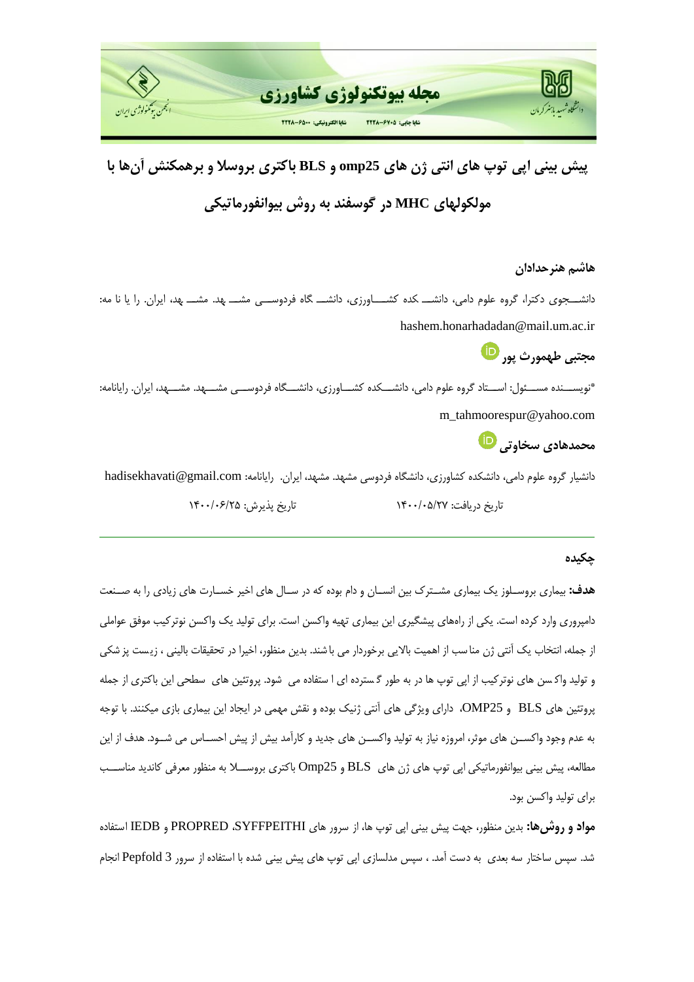

**پیش بینی اپی توپ های انتی ژن های 25omp و BLS باکتری بروسال و برهمکنش آنها با مولکولهای MHC در گوسفند به روش بیوانفورماتیکی**

**هاشم هنرحدادان**

دانشـــجوی دکترا، گروه علوم دامی، دانشـــ کده کشـــــاورزی، دانشـــ گاه فردوســـی مشـــ مهد. مشـــ بهد، ایران. را یا نا مه: hashem.honarhadadan@mail.um.ac.ir

**مجتبی طهمورث پور**

\*نویســـنده مســـئول: اســـتاد گروه علوم دامی، دانشـــکده کشــــاورزی، دانشـــگاه فردوســـی مشــــهد. مشــــهد، ایران. رایانامه: m\_tahmoorespur@yahoo.com

**محمدهادی سخاوتی**

دانشیار گروه علوم دامی، دانشکده کشاورزی، دانشگاه فردوسی مشهد. مشهد، ایران. رایانامه: hadisekhavati@gmail.com تاريخ دريافت: ١۴٠٠/٠۵/٢٧ هـ. - - - - - - - تاريخ پذيرش: ١۴٠٠/٠۶/٢۵

#### **چکیده**

ه**دف:** بیماری بروسـلوز یک بیماری مشــترک بین انســان و دام بوده که در ســال های اخیر خســارت های زیادی را به صــنعت دامپروری وارد کرده است. یکی از راههای پیشگیری این بیماری تهیه واکسن است. برای تولید یک واکسن نوترکیب موفق عواملی از جمله، انتخاب یک آنتی ژن مناسب از اهمیت بالایی برخوردار می با شند. بدین منظور، اخیرا در تحقیقات بالینی ، زیست پز شکی و تولید واکسن های نوترکیب از اپی توپ ها در به طور گسترده ای ا ستفاده می شود. پروتئین های سطحی این باکتری از جمله پروتئین های BLS و OMP25، دارای ویژگی های آنتی ژنیک بوده و نقش مهمی در ایجاد این بیماری بازی میکنند. با توجه به عدم وجود واکســن های موثر، امروزه نیاز به تولید واکســن های جدید و کارآمد بیش از پیش احســاس می شــود. هدف از این مطالعه، پیش بینی بیوانفورماتیکی اپی توپ های ژن های  $\,\mathrm{BLS}$  و 25 $\,\mathrm{Omp}$  باکتری بروســـلا به منظور معرفی کاندید مناســـب برای تولید واکسن بود.

<mark>مواد و روش&ا:</mark> بدین منظور، جهت پیش بینی اپی توپ ها، از سرور های PROPRED ،SYFFPEITHI و IEDB استفاده شد. سپس ساختار سه بعدی به دست آمد. ، سپس مدلسازی اپی توپ های پیش بینی شده با استفاده از سرور Pepfold 3 انجام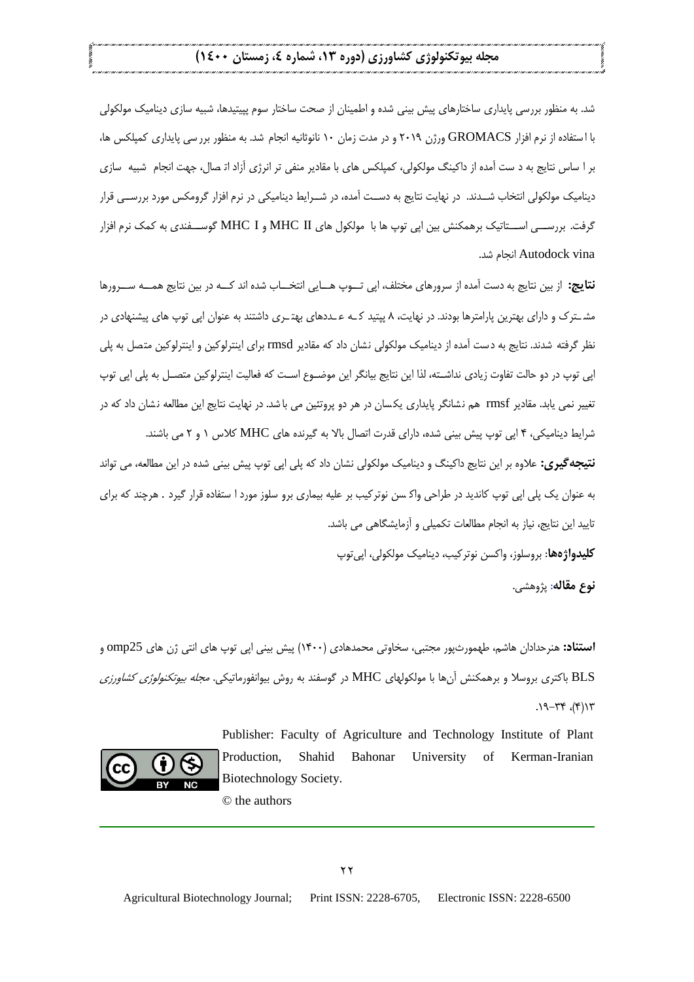شد. به منظور بررسی پایداری ساختارهای پیش بینی شده و اطمینان از صحت ساختار سوم پپیتیدها، شبیه سازی دینامیک مولکولی با ا ستفاده از نرم افزار GROMACS ورژن ۲۰۱۹ و در مدت زمان ۱۰ نانوثانیه انجام شد. به منظور برر سی پایداری کمپلکس ها، بر ا ساس نتایج به د ست آمده از داکینگ مولکولی، کمپلکس های با مقادیر منفی تر انرژی آزاد ات صال، جهت انجام شبیه سازی دینامیک مولکولی انتخاب شــدند. در نهایت نتایج به دســت آمده، در شــرایط دینامیکی در نرم افزار گرومکس مورد بررســی قرار گرفت. بررســی اســتاتیک برهمکنش بین اپی توپ ها با مولکول های MHC I و MHC I گوســفندی به کمک نرم افزار Autodock vina انحام شد.

**نتایج:** از بین نتایج به دست آمده از سرورهای مختلف، اپی تـــوپ هـــایی انتخـــاب شده اند کـــه در بین نتایج همـــه ســـرورها مشــترک و دارای بهترین پارامترها بودند. در نهایت، ۸ پیتید کــه عــددهای بهتــری داشتند به عنوان اپی توپ های پیشنهادی در نظر گرفته شدند. نتایج به دست آمده از دینامیک مولکولی نشان داد که مقادیر rmsd برای اینترلوکین و اینترلوکین متصل به پلی اپی توپ در دو حالت تفاوت زیادی نداشـته، لذا این نتایج بیانگر این موضـوع اسـت که فعالیت اینترلوکین متصـل به پلی اپی توپ تغییر نمی یابد. مقادیر rmsf هم نشانگر پایداری یکسان در هر دو پروتئین می با شد. در نهایت نتایج این مطالعه نشان داد که در شرایط دینامیکی، ۴ اپی توپ پیش بینی شده، دارای قدرت اتصال بالا به گیرنده های MHC کلاس ۱ و ۲ می باشند.

**نتیجه گیری:** علاوه بر این نتایج داکینگ و دینامیک مولکولی نشان داد که پلی اپی توپ پیش بینی شده در این مطالعه، می تواند به عنوان یک پلی ایی توپ کاندید در طراحی واک سن نوتر کیب بر علیه بیماری برو سلوز مورد ا ستفاده قرار گیرد . هرچند که برای تایید این نتایج، نیاز به انجام مطالعات تکمیلی و آزمایشگاهی می باشد.

<mark>کلیدواژهها</mark>: بروسلوز، واکسن نوتر کیب، دینامیک مولکولی، اپی توپ

**نوع مقاله**: پژویشی.

**استناد:** هنرحدادان هاشم، طهمورثپور مجتبی، سخاوتی محمدهادی (۱۴۰۰) پیش بینی اپی توپ های انتی ژن های 0mp25 و BLS باکتری بروسلا و برهمکنش آنها با مولکولهای MHC در گوسفند به روش بیوانفورماتیکی. *مجله بیوتکنولوژی کشاورزی*  $.19-77$  (19)

> Publisher: Faculty of Agriculture and Technology Institute of Plant Production, Shahid Bahonar University of Kerman-Iranian Biotechnology Society.

© the authors

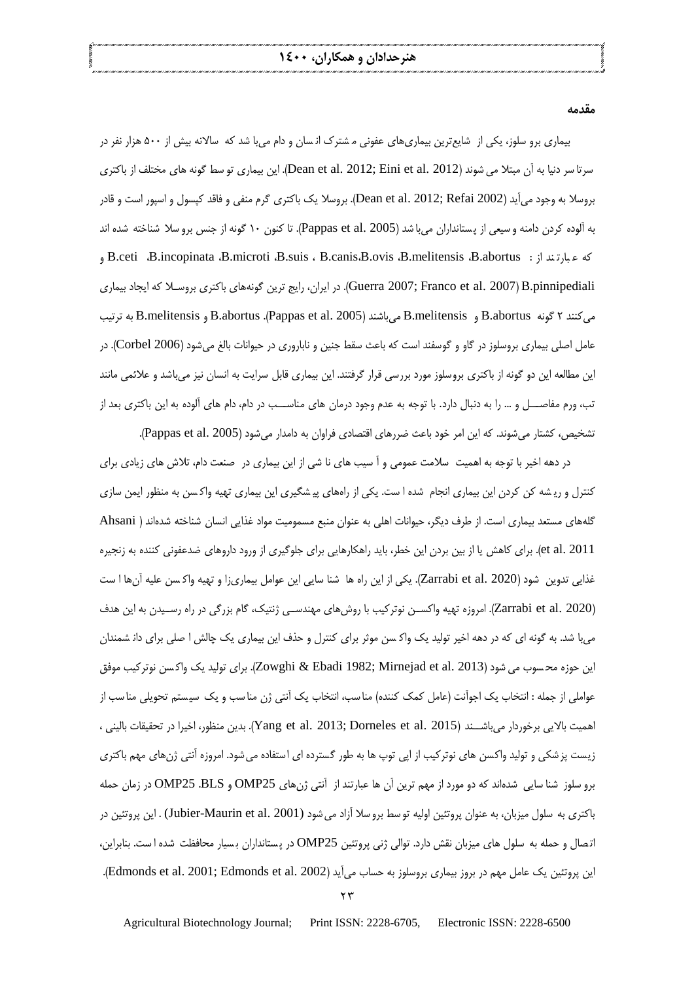**مقدمه**

بیماری برو سلوز، یکی از شایع ترین بیماری های عفونی م شترک انـسان و دام میبا شد که سالانه بیش از ۵۰۰ هزار نفر در سرتا سر دنیا به آن مبتلا می شوند (Dean et al. 2012; Eini et al. 2012). این بیماری تو سط گونه های مختلف از باکتری بروسلا به وجود میآید (Dean et al. 2012; Refai 2002). بروسلا یک باکتری گرم منفی و فاقد کپسول و اسپور است و قادر به آلوده کردن دامنه و سیعی از پستانداران می با شد (Pappas et al. 2005). تا کنون ۱۰ گونه از جنس برو سلا شناخته شده اند كه عبارتيد از B.ceti ،B.incopinata ،B.microti ،B.suis ، B.canis،B.ovis ،B.melitensis ،B.abortus ، ا Guerra 2007; Franco et al. 2007)B.pinnipediali. در ایران، رایج ترین گونههای باکتری بروسـلا که ایجاد بیماری می کنند ۲ گونه B.abortus و B.melitensis میباشند (Pappas et al. 2005). B.melitensis و B.melitensis به ترتیب عامل اصلی بیماری بروسلوز در گاو و گوسفند است که باعث سقط جنین و ناباروری در حیوانات بالغ می شود (Corbel 2006). در این مطالعه این دو گونه از باکتری بروسلوز مورد بررسی قرار گرفتند. این بیماری قابل سرایت به انسان نیز میباشد و علائمی مانند تب، ورم مفاصــــل و ... را به دنبال دارد. با توجه به عدم وجود درمان های مناســـب در دام، دام های آلوده به این باکتری بعد از تشخیص، کشتار می شوند. که این امر خود باعث ضررهای اقتصادی فراوان به دامدار می شود (Pappas et al. 2005).

در دهه اخیر با توجه به اهمیت سلامت عمومی و آ سیب های نا شی از این بیماری در صنعت دام، تلاش های زیادی برای کنترل و ریشه کن کردن این بیماری انجام شده ا ست. یکی از راههای پیشگیری این بیماری تهیه واکسن به منظور ایمن سازی گلههای مستعد بیماری است. از طرف دیگر، حیوانات اهلی به عنوان منبع مسمومیت مواد غذایی انسان شناخته شدهاند ( Ahsani et al. 2011). برای کاهش یا از بین بردن این خطر، باید راهکارهایی برای جلوگیری از ورود داروهای ضدعفونی کننده به زنجیره غذایی تدوین شود (Zarrabi et al. 2020). یکی از این راه ها شنا سایی این عوامل بیماریزا و تهیه واکسن علیه آنها ا ست (Zarrabi et al. 2020). امروزه تهیه واکســن نوترکیب با روش های مهندســی ژنتیک، گام بزرگی در راه رســیدن به این هدف میبا شد. به گونه ای که در دهه اخیر تولید یک واک سن موثر برای کنترل و حذف این بیماری یک چالش ا صلی برای دان شمندان این حوزه محسوب می شود (2013 .Zowghi & Ebadi 1982; Mirnejad et al این حوزه محسوب می شود (2013 Ebadi 1982). برای تولید یک عواملی از جمله : انتخاب یک اجوآنت (عامل کمک کننده) مناسب، انتخاب یک آنتی ژن مناسب و یک سیستم تحویلی مناسب از اهمیت بالایی بر خوردار میباشــند (2015 .Yang et al. 2013; Dorneles et al 2015). بدین منظور، اخیرا در تحقیقات بالینی ، زیست پزشکی و تولید واکسن های نوترکیب از اپی توپ ها به طور گسترده ای استفاده میشود. امروزه آنتی ژنهای مهم باکتری برو سلوز شنا سایی شدهاند که دو مورد از مهم ترین آن ها عبارتند از آنتی ژنهای OMP25 و OMP25 .BLS در زمان حمله باکتری به سلول میزبان، به عنوان پروتئین اولیه توسط بروسلا آزاد می شود (Jubier-Maurin et al. 2001) . این پروتئین در اتصال و حمله به سلول های میزبان نقش دارد. توالی ژنی پروتئین OMP25 در پستانداران بسیار محافظت شده ا ست. بنابراین، این پروتئین یک عامل مهم در بروز بیماری بروسلوز به حساب میآید (Edmonds et al. 2001; Edmonds et al. 2002).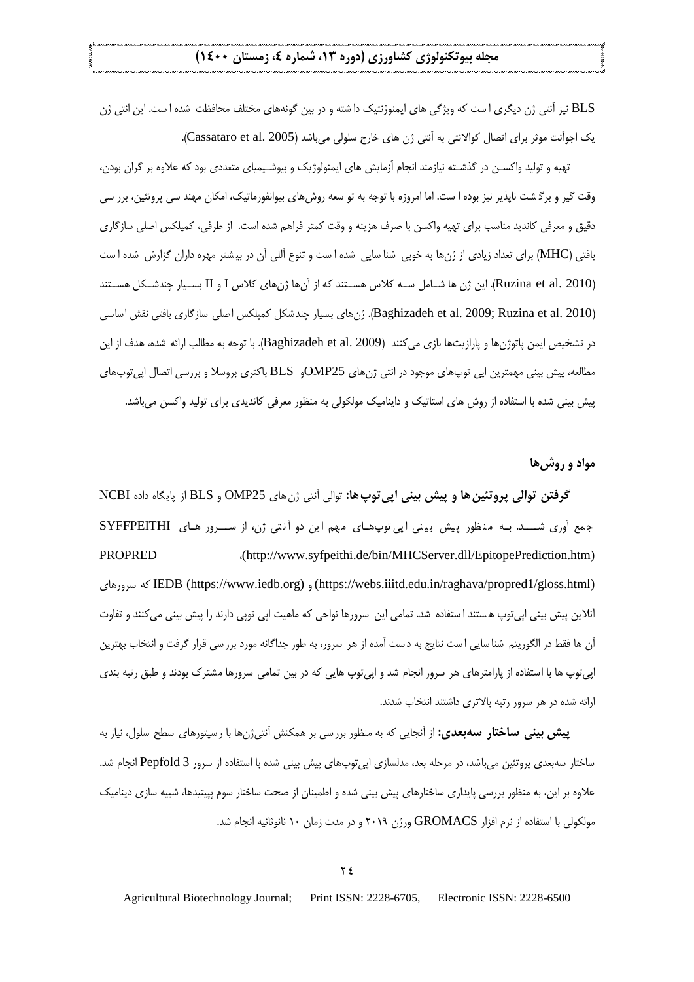BLS نیز آنتی ژن دیگری ا ست که ویژگی های ایمنوژنتیک دا شته و در بین گونههای مختلف محافظت شده ا ست. این انتی ژن یک اجوآنت موثر برای اتصال کوالانتی به آنتی ژن های خارج سلولی میباشد (Cassataro et al. 2005).

تهیه و تولید واکسـن در گذشــته نیازمند انجام آزمایش های ایمنولوژیک و بیوشـیمیای متعددی بود که علاوه بر گران بودن، وقت گیر و برگشت ناپذیر نیز بوده ا ست. اما امروزه با توجه به تو سعه روش های بیوانفورماتیک، امکان مهند سی پروتئین، برر سی دقیق و معرفی کاندید مناسب برای تهیه واکسن با صرف هزینه و وقت کمتر فراهم شده است. از طرفی، کمپلکس اصلی سازگاری بافتی (MHC) برای تعداد زیادی از ژنها به خوبی شنا سایی شده ا ست و تنوع أللی آن در بیشتر مهره داران گزارش شده ا ست )2010 .al et Ruzina). انن ژ ی شجج مل ججه ا و یسجج، ک اه ا آ ی ژ ی ک ا و I و II بسججی چ کشجج ل یسجج، ک (Baghizadeh et al. 2009; Ruzina et al. 2010). ژن های بسیار چندشکل کمپلکس اصلی سازگاری بافتی نقش اساسی در تشخیص ایمن پاتوژنها و پارازیتها بازی می کنند (Baghizadeh et al. 2009). با توجه به مطالب ارائه شده، هدف از این مطالعه، پیش بینی مهمترین اپی توپهای موجود در انتی ژنهای OMP25و BLS باکتری بروسلا و بررسی اتصال اپی توپهای پیش بینی شده با استفاده از روش های استاتیک و داینامیک مولکولی به منظور معرفی کاندیدی برای تولید واکسن می باشد.

**مواد و روشها**

گ**رفتن توالی پروتئین ها و پیش بینی اپی توپ ها:** توالی آنتی ژن های OMP25 و BLS از پایگاه داده NCBI جمع آوری شــد. بـه منظور پیش بینی اپی توپهای مهم این دو آنتی ژن، از سـرور های SYFFPEITHI PROPRED (http://www.syfpeithi.de/bin/MHCServer.dll/EpitopePrediction.htm) ک ی و اه IEDB (https://www.iedb.org) و) https://webs.iiitd.edu.in/raghava/propred1/gloss.html) آنلاین پیش بینی ایی توپ هستند ا ستفاده شد. تمامی این سرورها نواحی که ماهیت ایی توپی دارند را پیش بینی می کنند و تفاوت آن ها فقط در الگوريتم شنا سايي است نتايج به دست آمده از هر سرور، به طور جداگانه مورد برر سي قرار گرفت و انتخاب بهترين اپی توپ ها با استفاده از پارامترهای هر سرور انجام شد و اپی توپ هایی که در بین تمامی سرورها مشترک بودند و طبق رتبه بندی ارائه شده در هر سرور رتبه بالاتری داشتند انتخاب شدند.

**پیش بینی ساختار سهبعدی:** از آنجایی که به منظور بررسی بر همکنش آنتیژنها با ر سپتورهای سطح سلول، نیاز به ساختار سهبعدی پروتئین میباشد، در مرحله بعد، مدلسازی اپیتوپهای پیش بینی شده با استفاده از سرور Pepfold 3 انجام شد. علاوه بر این، به منظور بررسی پایداری ساختارهای پیش بینی شده و اطمینان از صحت ساختار سوم پپیتیدها، شبیه سازی دینامیک مولکولی با استفاده از نرم افزار GROMACS ورژن ۲۰۱۹ و در مدت زمان ۱۰ نانوثانیه انجام شد.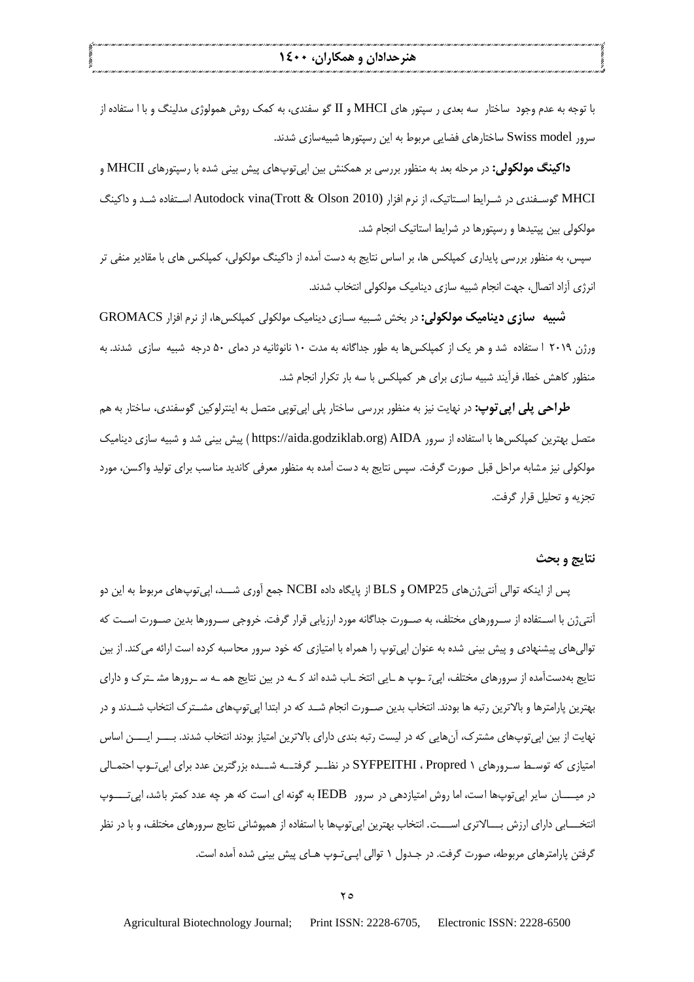با توجه به عدم وجود ساختار سه بعدی ر سپتور های MHCI و II گو سفندی، به کمک روش همولوژی مدلینگ و با ا ستفاده از سرور Swiss model ساختارهای فضایی مربوط به این رسپتورها شبیهسازی شدند.

**داکینگ مولکولی:** در مرحله بعد به منظور بررسی بر همکنش بین اپی¤پیهای پیش بینی شده با رسپتورهای MHCII و MHCI گوسـفندی در شـرایط اسـتاتیک، از نرم افزار (2010 Autodock vina(Trott & Olson اسـتفاده شـد و داکینگ مولکولی بین پپتیدها و رسپتورها در شرایط استاتیک انجام شد.

سپس، به منظور بررسی پایداری کمپلکس ها، بر اساس نتایج به دست آمده از داکینگ مولکولی، کمپلکس های با مقادیر منفی تر انرژی آزاد اتصال، جهت انجام شبیه سازی دینامیک مولکولی انتخاب شدند.

**شبیه سازی دینامیک مولکولی:** در بخش شـبیه سـازی دینامیک مولکولی کمپلکسها، از نرم افزار GROMACS ورژن ۲۰۱۹ ا ستفاده شد و هر یک از کمپلکس ها به طور جداگانه به مدت ۱۰ نانوثانیه در دمای ۵۰ درجه شبیه سازی شدند. به منظور کاهش خطا، فرآیند شبیه سازی برای هر کمیلکس با سه بار تکرار انجام شد.

**طراحی پلی اپی توپ:** در نهایت نیز به منظور بررسی ساختار پلی اپی توپی متصل به اینترلوکین گوسفندی، ساختار به ه<u>م</u> متصل بهترین کمپلکس ها با استفاده از سرور https://aida.godziklab.org) AIDA ) پیش بینی شد و شبیه سازی دینامیک مولکولی نیز مشابه مراحل قبل صورت گرفت. سپس نتایج به دست آمده به منظور معرفی کاندید مناسب برای تولید واکسن، مورد تجزیه و تحلیل قرار گرفت.

#### **نتایج و بحث**

پس از اینکه توالی آنتی;ن های OMP25 و BLS از پایگاه داده NCBI جمع آوری شـــد، ایی توپ،های مربوط به این دو آنتیژن با اسـتفاده از سـرورهای مختلف، به صـورت جداگانه مورد ارزیابی قرار گرفت. خروجی سـرورها بدین صـورت اسـت که توالی های پیشنهادی و پیش بینی شده به عنوان اپی توپ را همراه با امتیازی که خود سرور محاسبه کرده است ارائه میکند. از بین نتایج بهدستآمده از سرورهای مختلف، اپی توپ ه سایی انتخ ساب شده اند کسه در بین نتایج هم سه سرورها مش سترک و دارای بهترین پارامترها و بالاترین رتبه ها بودند. انتخاب بدین صـورت انجام شــد که در ابتدا ایی توپهای مشــترک انتخاب شــدند و در نهایت از بین اپی توپهای مشترک، آنهایی که در لیست رتبه بندی دارای بالاترین امتیاز بودند انتخاب شدند. بـــــر ایـــــن اساس امتیازی که توســط ســرورهای ۱ SYFPEITHI ، Propred در نظـــر گرفتـــه شـــده بزرگترین عدد برای اپیتــوپ احتمــالی د میجججج ن اپیتدپی ا ت ام وش ام،ی دیی د و IEDB به گدنه اک ا ت اه ی چه عکد ام، ب شک اپیتججججدپ انتخــــابی دارای ارزش بــــالاتری اســــت. انتخاب بهترین اپی¤وپها با استفاده از همپوشانی نتایج سرورهای مختلف، و با در نظر گرفتن پارامترهای مربوطه، صورت گرفت. در جـدول ۱ توالی اپـی تـوپ هـای پیش بینی شده آمده است.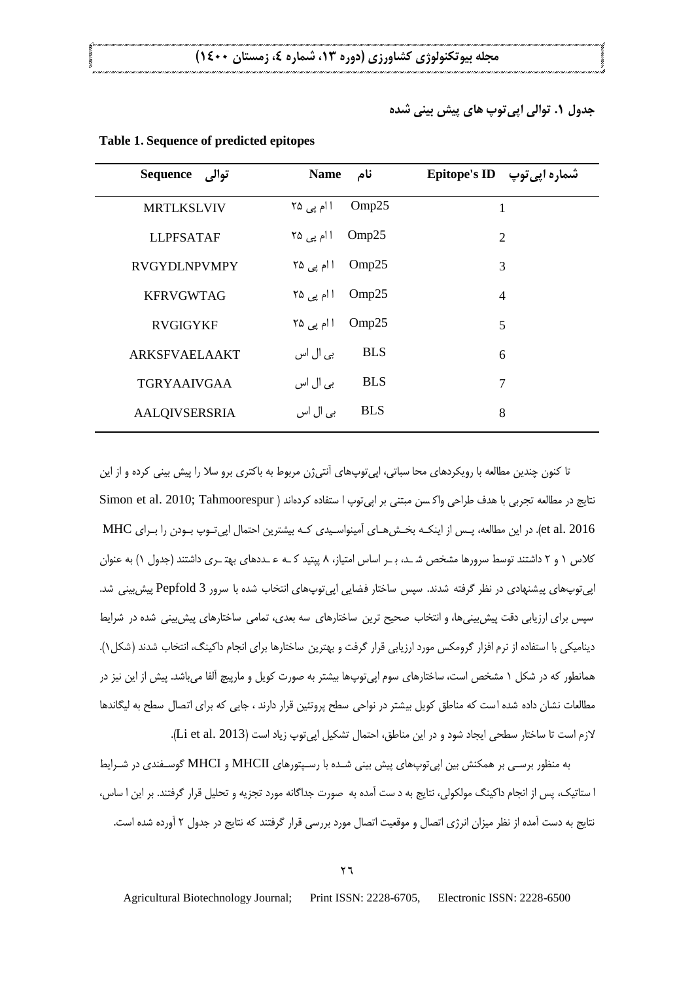**جدول .1 توالی اپیتوپ های پیش بینی شده**

| توالى Sequence       | <b>Name</b><br>نام     | تسماره اپی توپ Epitope's ID |
|----------------------|------------------------|-----------------------------|
| <b>MRTLKSLVIV</b>    | Omp25<br>ا ام پی ۲۵    | 1                           |
| <b>LLPFSATAF</b>     | Omp25<br>ا ام پی ۲۵    | $\overline{2}$              |
| <b>RVGYDLNPVMPY</b>  | Omp25<br>ا ام یی ۲۵    | 3                           |
| <b>KFRVGWTAG</b>     | Omp25<br>ا ام یی ۲۵    | $\overline{4}$              |
| <b>RVGIGYKF</b>      | Omp25<br>ا ام پی ۲۵    | 5                           |
| <b>ARKSFVAELAAKT</b> | <b>BLS</b><br>بی ال اس | 6                           |
| <b>TGRYAAIVGAA</b>   | <b>BLS</b><br>بی ال اس | $\overline{7}$              |
| <b>AALQIVSERSRIA</b> | <b>BLS</b><br>بي ال اس | 8                           |

#### **Table 1. Sequence of predicted epitopes**

تا کنون چندین مطالعه با رویکردهای محا سباتی، اپی توپهای آنتی ژن مربوط به باکتری برو سلا را پیش بینی کرده و از این نتايج در مطالعه تجربي با هدف طراحي واكسن مبتني بر اپي توپ ا ستفاده كردهاند ( Simon et al. 2010; Tahmoorespur et al. 2016). در این مطالعه، پیس از اینکبه بخبش هیای آمینواسیدی کبه بیشترین اجتمال ایی تبوی بیودن را بیرای MHC کلاس ۱ و ۲ داشتند توسط سرورها مشخص شره، برج اساس امتیاز، ۸ پیتید کره عربدهای بهتری داشتند (جدول ۱) به عنوان اپی توپی ای پیشنهادی در نظر گرفته شدند. سپس ساختار فضایی ایی توپیهای انتخاب شده با سرور Pepfold 3 پیش بینی شد. سپس برای ارزیابی دقت پیش بینی ها، و انتخاب صحیح ترین ساختارهای سه بعدی، تمامی ساختارهای پیش بینی شده در شرایط دینامیکی با استفاده از نرم افزار گرومکس مورد ارزیابی قرار گرفت و بهترین ساختارها برای انجام داکینگ، انتخاب شدند (شکل ۱). همانطور که در شکل ۱ مشخص است، ساختارهای سوم اپی توپها بیشتر به صورت کویل و مارپیچ آلفا میباشد. پیش از این نیز در مطالعات نشان داده شده است که مناطق کویل بیشتر در نواحی سطح پروتئین قرار دارند ، جایی که برای اتصال سطح به لیگاندها لازم است تا ساختار سطحی ایجاد شود و در این مناطق، احتمال تشکیل اپیتوپ زیاد است (Li et al. 2013).

به منظور برسـی بر همکنش بین اپی¤وپهای پیش بینی شـده با رسـپتورهای MHCII و MHCI گوسـفندی در شـرایط ا ستاتیک، پس از انجام داکینگ مولکولی، نتایج به د ست آمده به صورت جداگانه مورد تجزیه و تحلیل قرار گرفتند. بر این ا ساس، نتایج به دست آمده از نظر میزان انرژی اتصال و موقعیت اتصال مورد بررسی قرار گرفتند که نتایج در جدول ۲ آورده شده است.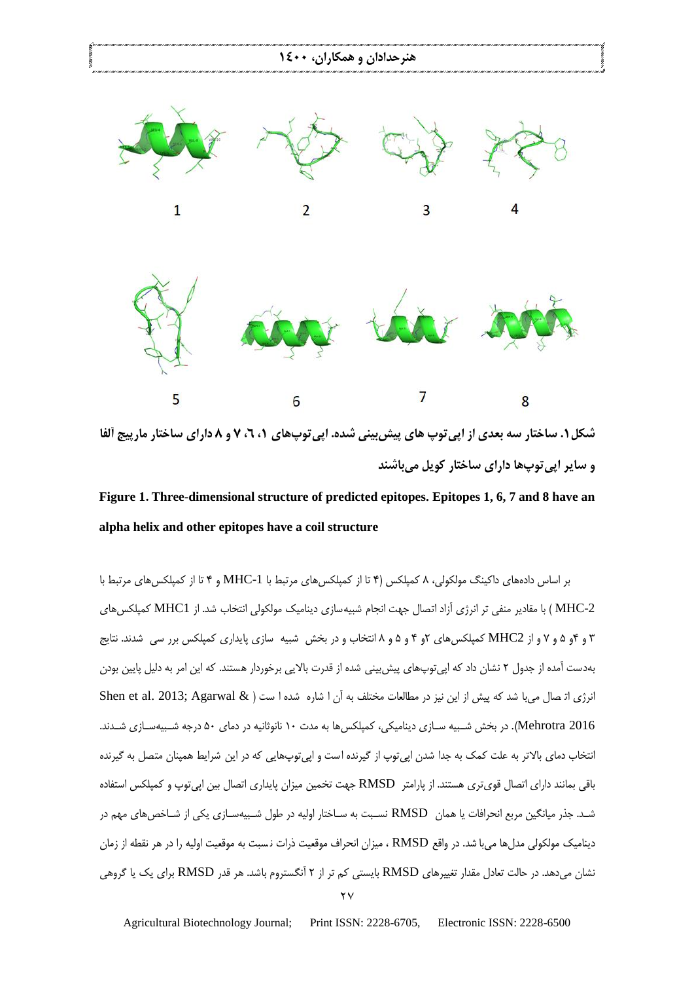

**Figure 1. Three-dimensional structure of predicted epitopes. Epitopes 1, 6, 7 and 8 have an alpha helix and other epitopes have a coil structure**

بر اساس دادههای داکینگ مولکولی، ۸ کمپلکس (۴ تا از کمپلکس های مرتبط با MHC-1 و ۴ تا از کمپلکس های مرتبط با MHC-2 ) با مقادیر منفی تر انرژی آزاد اتصال جهت انجام شبیه سازی دینامیک مولکولی انتخاب شد. از MHC1 کمپلکس های ۳ و ۴و ۵ و ۷ و از MHC2 کمپلکسهای ۲و ۴ و ۵ و ۸ انتخاب و در بخش شبیه سازی پایداری کمپلکس برر سی شدند. نتایج بهدست آمده از جدول ۲ نشان داد که اپی توپهای پیش بینی شده از قدرت بالایی برخوردار هستند. که این امر به دلیل پایین بودن انرژی اترصال می با شد که پیش از این نیز در مطالعات مختلف به آن ا شاره شده ا ست ( & Shen et al. 2013; Agarwal Mehrotra 2016). در بخش شــبیه سـازی دینامیکی، کمیلکس ها به مدت ۱۰ نانوثانیه در دمای ۵۰ درجه شــبیهسـازی شــدند. انتخاب دمای بالاتر به علت کمک به جدا شدن اپی توپ از گیرنده است و اپی توپهایی که در این شرایط همپنان متصل به گیرنده باقی بمانند دارای اتصال قوی تری هستند. از پارامتر RMSD جهت تخمین میزان پایداری اتصال بین اپی توپ و کمپلکس استفاده شـد. جذر میانگین مربع انحرافات یا همان RMSD نسـبت به سـاختار اولیه در طول شـبیهسـازی یکی از شـاخص۵ای مهم در دینامیک مولکولی مدل ها می با شد. در واقع RMSD ، میزان انحراف موقعیت ذرات نسبت به موقعیت اولیه را در هر نقطه از زمان نشان میدهد. در حالت تعادل مقدار تغییرهای RMSD بایستی کم تر از ۲ آنگستروم باشد. هر قدر RMSD برای یک یا گروهی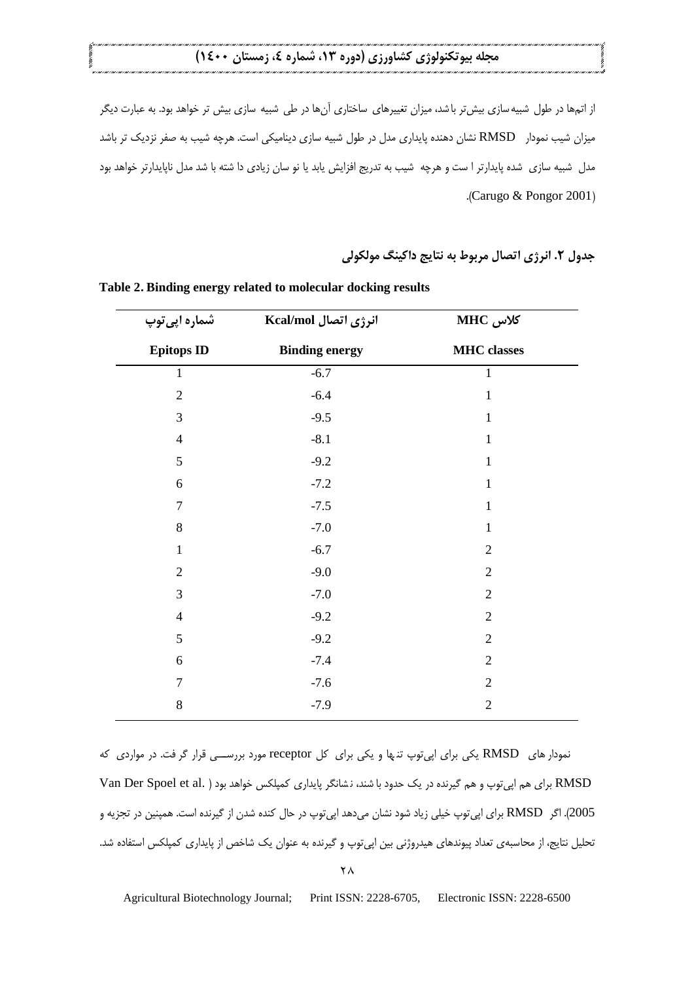از اتمها در طول شبیه سازی بیش تر با شد، میزان تغییرهای ساختاری آنها در طی شبیه سازی بیش تر خواهد بود. به عبارت دیگر میزان شیب نمودار RMSD نشان دهنده پایداری مدل در طول شبیه سازی دینامیکی است. هرچه شیب به صفر نزدیک تر باشد مدل شبیه سازی شده پایدارتر ا ست و هرچه شیب به تدریج افزایش یابد یا نو سان زیادی دا شته با شد مدل ناپایدارتر خواهد بود .)Carugo & Pongor 2001(

**جدول .2 انرژی اتصال مربوط به نتایج داکینگ مولکولی**

| شماره اپی توپ     | انرژی اتصال Kcal/mol  | MHC کلاس           |
|-------------------|-----------------------|--------------------|
| <b>Epitops ID</b> | <b>Binding energy</b> | <b>MHC</b> classes |
| $\mathbf{1}$      | $-6.7$                | $\mathbf{1}$       |
| $\overline{2}$    | $-6.4$                | $\mathbf{1}$       |
| $\overline{3}$    | $-9.5$                | $\mathbf{1}$       |
| $\overline{4}$    | $-8.1$                | $\mathbf{1}$       |
| 5                 | $-9.2$                | $\mathbf{1}$       |
| 6                 | $-7.2$                | $\mathbf{1}$       |
| $\overline{7}$    | $-7.5$                | $\mathbf{1}$       |
| $8\,$             | $-7.0$                | $\mathbf{1}$       |
| $\mathbf{1}$      | $-6.7$                | $\overline{2}$     |
| $\overline{2}$    | $-9.0$                | $\overline{2}$     |
| 3                 | $-7.0$                | $\overline{2}$     |
| $\overline{4}$    | $-9.2$                | $\overline{2}$     |
| 5                 | $-9.2$                | $\overline{2}$     |
| $\sqrt{6}$        | $-7.4$                | $\mathbf{2}$       |
| $\overline{7}$    | $-7.6$                | $\overline{2}$     |
| 8                 | $-7.9$                | $\overline{2}$     |

**Table 2. Binding energy related to molecular docking results**

نمودار های RMSD یکی برای اپیتوپ تنها و یکی برای کل receptor مورد بررســی قرار گرفت. در مواردی که RMSD برای هم اپی توپ و هم گیرنده در یک حدود با شند، نشانگر پایداری کمپلکس خواهد بود (.Van Der Spoel et al 2005). اگر RMSD برای ایی توپ خیلی زیاد شود نشان می دهد ایی توپ در حال کنده شدن از گیرنده است. همپنین در تجزیه و تحلیل نتایج، از محاسبهی تعداد پیوندهای هیدروژنی بین اپی توپ و گیرنده به عنوان یک شاخص از پایداری کمپلکس استفاده شد.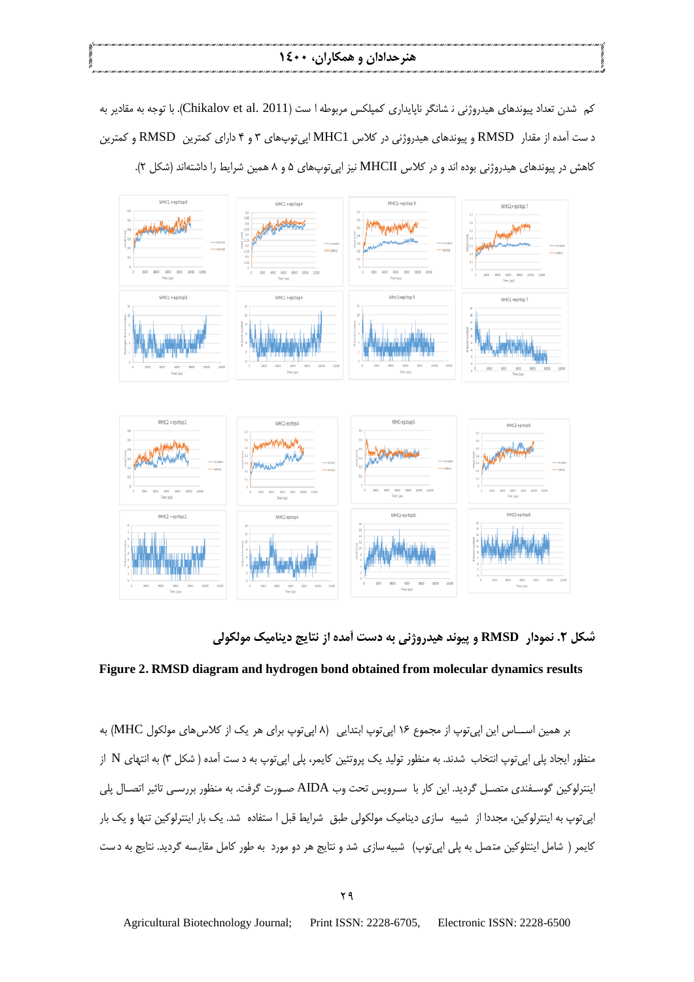### **هنرحدادان و همکاران، 1400**

کم شدن تعداد پیوندهای هیدروژنی ن شانگر ناپایداری کمپلکس مربوطه ا ست (Chikalov et al. 2011). با توجه به مقادیر به د ست آمده از مقدار RMSD و پیوندهای هیدروژنی در کلاس MHC1 اپی توپ،های ۳ و ۴ دارای کمترین RMSD و کمترین کاهش در پیوندهای هیدروژنی بوده اند و در کلاس MHCII نیز اپیتوپهای ۵ و ۸ همین شرایط را داشتهاند (شکل ۲).



**شکل .2 نمودار RMSD و پیوند هیدروژنی به دست آمده از نتایج دینامیک مولکولی**

#### **Figure 2. RMSD diagram and hydrogen bond obtained from molecular dynamics results**

بر همین اســـاس این اپیتوپ از مجموع ۱۶ اپیتوپ ابتدایی (۸ اپیتوپ برای هر یک از کلاس۵ای مولکول MHC) به منظور ایجاد پلی اپی توپ انتخاب شدند. به منظور تولید یک پروتئین کایمر، پلی اپی توپ به د ست آمده ( شکل ۳) به انتهای N از اینترلوکین گوسـفندی متصـل گردید. این کار با سـرویس تحت وب AIDA صـورت گرفت. به منظور بررسـی تاثیر اتصـال پلی اپی توپ به اینترلوکین، مجددا از شبیه سازی دینامیک مولکولی طبق شرایط قبل ا ستفاده شد. یک بار اینترلوکین تنها و یک بار کایمر ( شامل اینتلوکین متصل به پلی اپیتوپ) شبیه سازی شد و نتایج هر دو مورد به طور کامل مقایسه گردید. نتایج به دست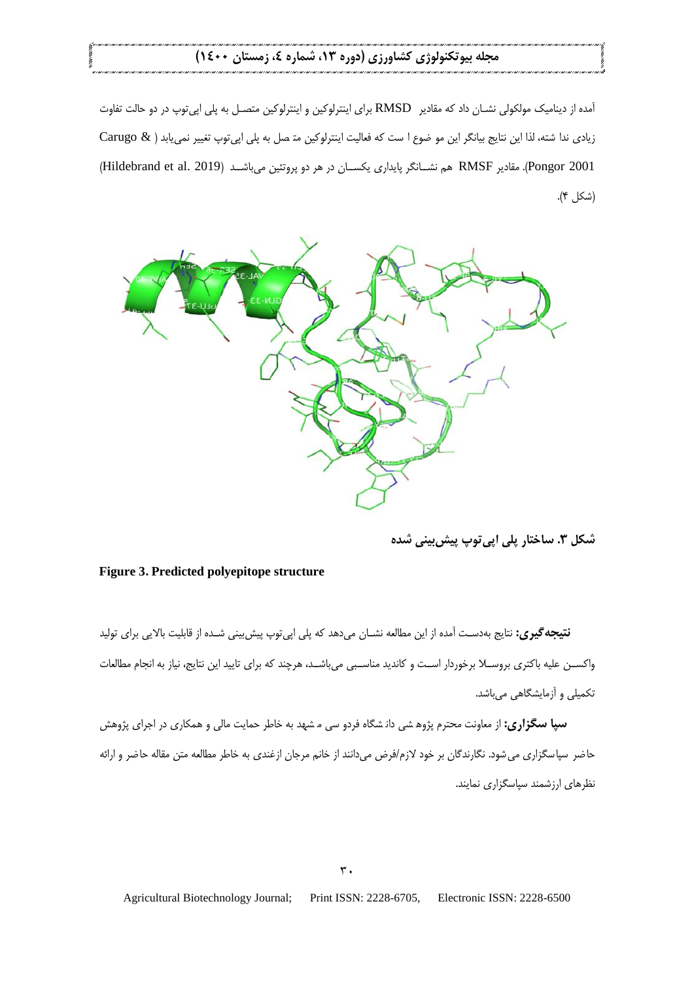آمده از دینامیک مولکولی نشـان داد که مقادیر RMSD برای اینترلوکین و اینترلوکین متصـل به پلی اپی توپ در دو حالت تفاوت زيادى ندا شته، لذا اين نتايج بيانگر اين مو ضوع ا ست كه فعاليت اينترلوكين مة صل به پلي اپيتوپ تغيير نمي يابد ( & Carugo Pongor 2001). مقادیر RMSF هم نشـانگر پایداری یکســان در هر دو پروتئین میباشــد (Hildebrand et al. 2019) (شكل ۴).



**شکل .3 ساختار پلی اپیتوپ پیشبینی شده**

### **Figure 3. Predicted polyepitope structure**

**نتیجه گیری:** نتایج بهدست آمده از این مطالعه نشــان می دهد که پلی اپی توپ پیش بینی شــده از قابلیت بالایی برای تولید واکســن علیه باکتری بروســلا برخوردار اســت و کاندید مناسـبی می باشــد، هرچند که برای تایید این نتایج، نیاز به انجام مطالعات تکمیلی و آزمایشگاهی میباشد.

**سپا سگزاری:** از معاونت محترم پژوه شی دانـشگاه فردو سی مـ شهد به خاطر حمایت مالی و همکاری در اجرای پژوهش حاضر سپاسگزاری می شود. نگارندگان بر خود لازم/فرض میدانند از خانم مرجان ازغندی به خاطر مطالعه متن مقاله حاضر و ارائه نظرهای ارزشمند سیاسگزاری نمایند.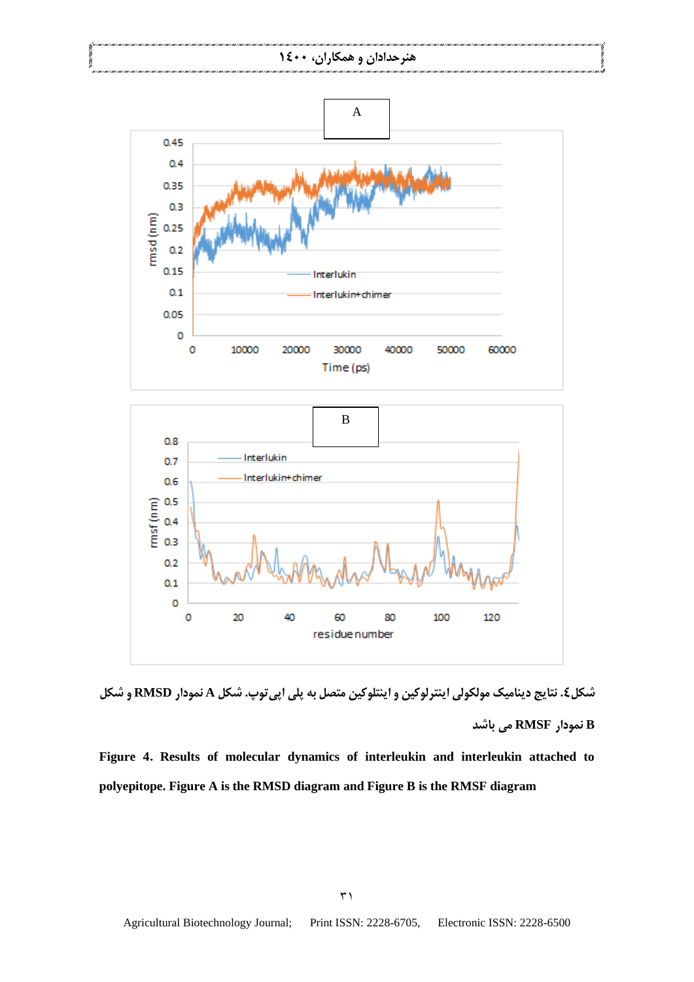## **هنرحدادان و همکاران، 1400**



**شکل.4 نتایج دینامیک مولکولی اینترلوکین و اینتلوکین متصل به پلی اپیتوپ. شکل A نمودار RMSD و شکل B نمودار RMSF می باشد**

**Figure 4. Results of molecular dynamics of interleukin and interleukin attached to polyepitope. Figure A is the RMSD diagram and Figure B is the RMSF diagram**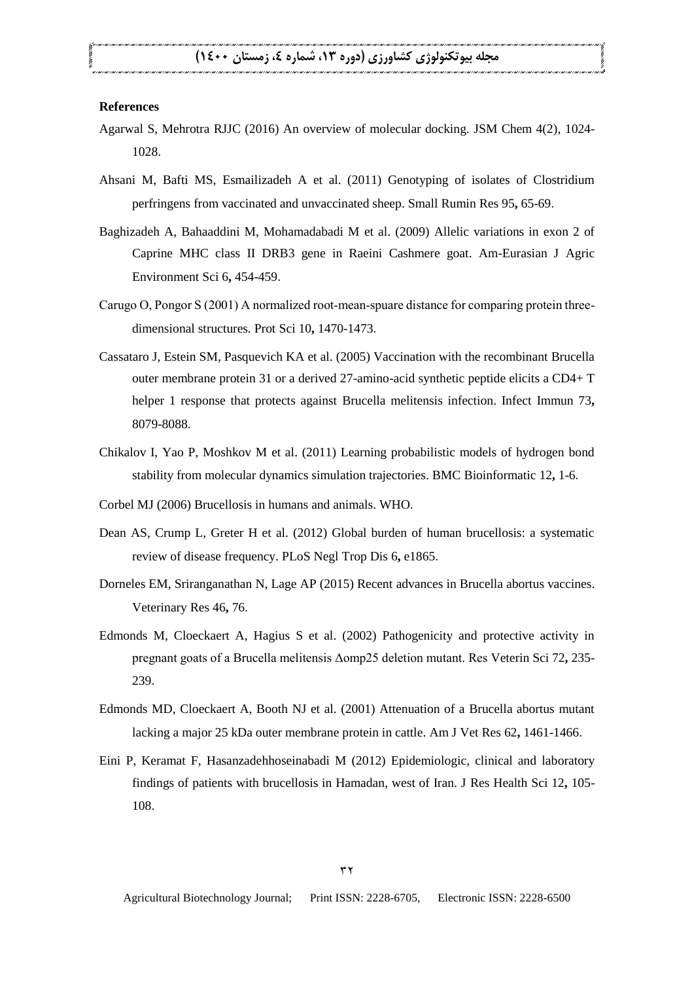#### **References**

- Agarwal S, Mehrotra RJJC (2016) An overview of molecular docking. JSM Chem 4(2), 1024- 1028.
- Ahsani M, Bafti MS, Esmailizadeh A et al. (2011) Genotyping of isolates of Clostridium perfringens from vaccinated and unvaccinated sheep. Small Rumin Res 95**,** 65-69.
- Baghizadeh A, Bahaaddini M, Mohamadabadi M et al. (2009) Allelic variations in exon 2 of Caprine MHC class II DRB3 gene in Raeini Cashmere goat. Am-Eurasian J Agric Environment Sci 6**,** 454-459.
- Carugo O, Pongor S (2001) A normalized root-mean-spuare distance for comparing protein threedimensional structures. Prot Sci 10**,** 1470-1473.
- Cassataro J, Estein SM, Pasquevich KA et al. (2005) Vaccination with the recombinant Brucella outer membrane protein 31 or a derived 27-amino-acid synthetic peptide elicits a CD4+ T helper 1 response that protects against Brucella melitensis infection. Infect Immun 73**,** 8079-8088.
- Chikalov I, Yao P, Moshkov M et al. (2011) Learning probabilistic models of hydrogen bond stability from molecular dynamics simulation trajectories. BMC Bioinformatic 12**,** 1-6.
- Corbel MJ (2006) Brucellosis in humans and animals. WHO.
- Dean AS, Crump L, Greter H et al. (2012) Global burden of human brucellosis: a systematic review of disease frequency. PLoS Negl Trop Dis 6**,** e1865.
- Dorneles EM, Sriranganathan N, Lage AP (2015) Recent advances in Brucella abortus vaccines. Veterinary Res 46**,** 76.
- Edmonds M, Cloeckaert A, Hagius S et al. (2002) Pathogenicity and protective activity in pregnant goats of a Brucella melitensis Δomp25 deletion mutant. Res Veterin Sci 72**,** 235- 239.
- Edmonds MD, Cloeckaert A, Booth NJ et al. (2001) Attenuation of a Brucella abortus mutant lacking a major 25 kDa outer membrane protein in cattle. Am J Vet Res 62**,** 1461-1466.
- Eini P, Keramat F, Hasanzadehhoseinabadi M (2012) Epidemiologic, clinical and laboratory findings of patients with brucellosis in Hamadan, west of Iran. J Res Health Sci 12**,** 105- 108.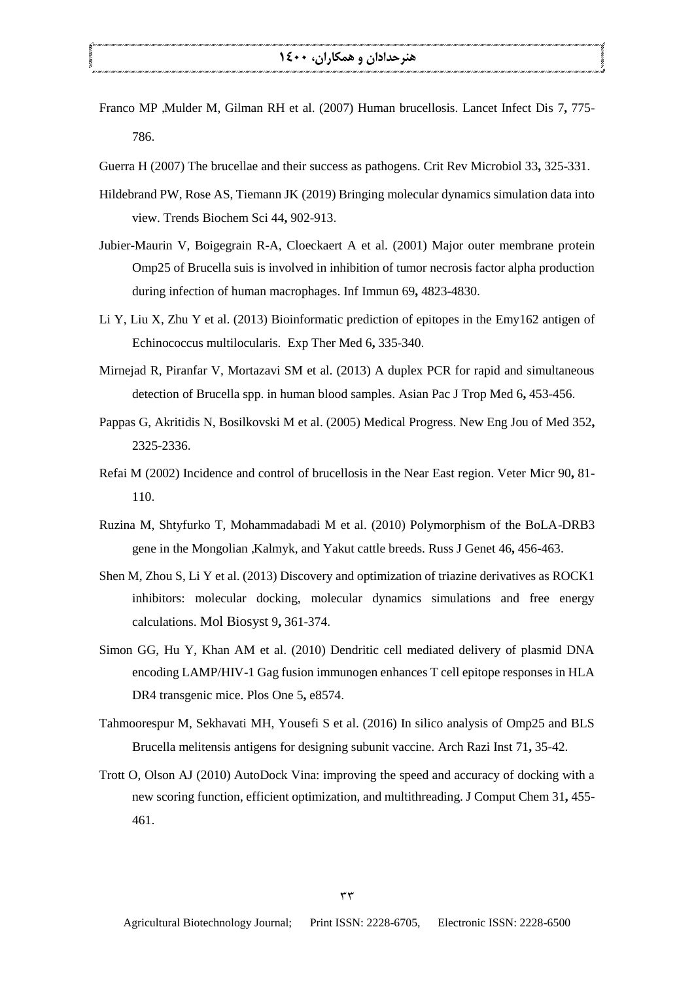- Franco MP ,Mulder M, Gilman RH et al. (2007) Human brucellosis. Lancet Infect Dis 7**,** 775- 786.
- Guerra H (2007) The brucellae and their success as pathogens. Crit Rev Microbiol 33**,** 325-331.
- Hildebrand PW, Rose AS, Tiemann JK (2019) Bringing molecular dynamics simulation data into view. Trends Biochem Sci 44**,** 902-913.
- Jubier-Maurin V, Boigegrain R-A, Cloeckaert A et al. (2001) Major outer membrane protein Omp25 of Brucella suis is involved in inhibition of tumor necrosis factor alpha production during infection of human macrophages. Inf Immun 69**,** 4823-4830.
- Li Y, Liu X, Zhu Y et al. (2013) Bioinformatic prediction of epitopes in the Emy162 antigen of Echinococcus multilocularis. Exp Ther Med 6**,** 335-340.
- Mirnejad R, Piranfar V, Mortazavi SM et al. (2013) A duplex PCR for rapid and simultaneous detection of Brucella spp. in human blood samples. Asian Pac J Trop Med 6**,** 453-456.
- Pappas G, Akritidis N, Bosilkovski M et al. (2005) Medical Progress. New Eng Jou of Med 352**,** 2325-2336.
- Refai M (2002) Incidence and control of brucellosis in the Near East region. Veter Micr 90**,** 81- 110.
- Ruzina M, Shtyfurko T, Mohammadabadi M et al. (2010) Polymorphism of the BoLA-DRB3 gene in the Mongolian ,Kalmyk, and Yakut cattle breeds. Russ J Genet 46**,** 456-463.
- Shen M, Zhou S, Li Y et al. (2013) Discovery and optimization of triazine derivatives as ROCK1 inhibitors: molecular docking, molecular dynamics simulations and free energy calculations. Mol Biosyst 9**,** 361-374.
- Simon GG, Hu Y, Khan AM et al. (2010) Dendritic cell mediated delivery of plasmid DNA encoding LAMP/HIV-1 Gag fusion immunogen enhances T cell epitope responses in HLA DR4 transgenic mice. Plos One 5**,** e8574.
- Tahmoorespur M, Sekhavati MH, Yousefi S et al. (2016) In silico analysis of Omp25 and BLS Brucella melitensis antigens for designing subunit vaccine. Arch Razi Inst 71**,** 35-42.
- Trott O, Olson AJ (2010) AutoDock Vina: improving the speed and accuracy of docking with a new scoring function, efficient optimization, and multithreading. J Comput Chem 31**,** 455- 461.